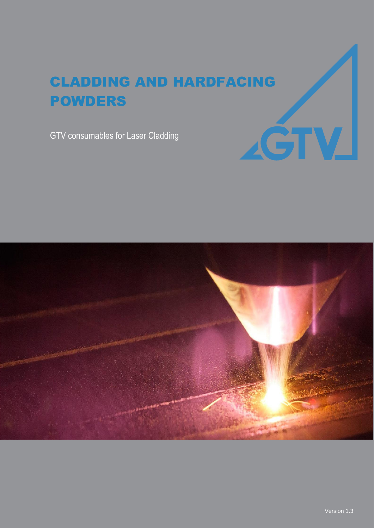# CLADDING AND HARDFACING POWDERS

GTV consumables for Laser Cladding



AĞTV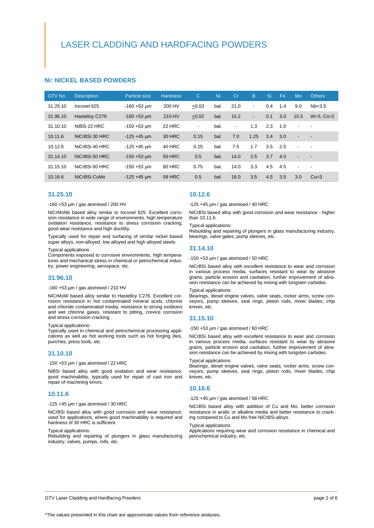#### **Ni: NICKEL BASED POWDERS**

| GTV No.  | <b>Description</b> | Particle size          | <b>Hardness</b> | $\mathsf{C}$   | Ni   | Cr             | B              | Si  | Fe  | Mo                       | <b>Others</b>            |
|----------|--------------------|------------------------|-----------------|----------------|------|----------------|----------------|-----|-----|--------------------------|--------------------------|
| 31.25.10 | Inconel 625        | $-160 + 53 \mu m$      | 200 HV          | < 0.03         | bal. | 21.0           | $\blacksquare$ | 0.4 | 1.4 | 9.0                      | $Nb = 3.5$               |
| 31.96.10 | Hastelloy C276     | $-160 + 53 \mu m$      | 210 HV          | < 0.02         | bal. | 15.2           | $\blacksquare$ | 0.1 | 3.0 | 15.5                     | $W=3$ , $Co=2$           |
| 31.10.10 | NiBSi 22 HRC       | $-150 + 53 \text{ µm}$ | 22 HRC          | $\blacksquare$ | bal. | $\blacksquare$ | 1.3            | 2.3 | 1.0 | $\blacksquare$           | $\overline{\phantom{a}}$ |
| 10.11.6  | NiCrBSi 30 HRC     | $-125 + 45 \mu m$      | <b>30 HRC</b>   | 0.15           | bal. | 7.0            | 1.25           | 3.4 | 3.0 | $\overline{\phantom{a}}$ | $\overline{\phantom{a}}$ |
| 10.12.6  | NiCrBSi 40 HRC     | $-125 + 45$ µm         | 40 HRC          | 0.25           | bal. | 7.5            | 1.7            | 3.5 | 2.5 | $\blacksquare$           | $\overline{\phantom{a}}$ |
| 31.14.10 | NiCrBSi 50 HRC     | $-150 + 53 \mu m$      | <b>50 HRC</b>   | 0.5            | bal. | 14.0           | 2.5            | 3.7 | 4.0 | $\overline{\phantom{a}}$ | $\overline{\phantom{a}}$ |
| 31.15.10 | NiCrBSi 60 HRC     | $-150 + 53 \mu m$      | 60 HRC          | 0.75           | bal. | 14.0           | 3.3            | 4.5 | 4.5 | $\blacksquare$           | $\overline{\phantom{a}}$ |
| 10.16.6  | NiCrBSi CuMo       | $-125 + 45 \mu m$      | <b>58 HRC</b>   | 0.5            | bal. | 16.0           | 3.5            | 4.5 | 3.5 | 3.0                      | $Cu=3$                   |

#### **31.25.10**

-160 +53 µm / gas atomised / 200 HV

NiCrMoNb based alloy similar to Inconel 625. Excellent corrosion resistance in wide range of environments, high temperature oxidation resistance, resistance to stress corrosion cracking, good wear resistance and high ductility.

Typically used for repair and surfacing of similar nickel based super alloys, non-alloyed, low alloyed and high alloyed steels.

#### Typical applications:

Components exposed to corrosive environments, high temperatures and mechanical stress in chemical or petrochemical industry, power engineering, aerospace, etc.

#### **31.96.10**

#### -160 +53 µm / gas atomised / 210 HV

NiCrMoW based alloy similar to Hastelloy C276. Excellent corrosion resistance in hot contaminated mineral acids, chlorine and chloride contaminated media, resistance to strong oxidisers and wet chlorine gases, resistant to pitting, crevice corrosion and stress corrosion cracking.

#### Typical applications:

Typically used in chemical and petrochemical processing applications as well as hot working tools such as hot forging dies, punches, press tools, etc.

#### **31.10.10**

#### -150 +53 µm / gas atomised / 22 HRC

NiBSi based alloy with good oxidation and wear resistance, good machinability, typically used for repair of cast iron and repair of machining errors.

#### **10.11.6**

#### $-125 + 45$  µm / gas atomised / 30 HRC

NiCrBSi based alloy with good corrosion and wear resistance, used for applications, where good machinability is required and hardness of 30 HRC is sufficient.

Typical applications:

Rebuilding and repairing of plungers in glass manufacturing industry, valves, pumps, rolls, etc.

#### **10.12.6**

 $-125 + 45$  µm / gas atomised / 40 HRC

NiCrBSi based alloy with good corrosion and wear resistance - higher than 10.11.6.

Typical applications:

Rebuilding and repairing of plungers in glass manufacturing industry, bearings, valve gates, pump sleeves, etc.

#### **31.14.10**

 $-150 +53$  µm / gas atomised / 50 HRC

NiCrBSi based alloy with excellent resistance to wear and corrosion in various process media, surfaces resistant to wear by abrasive grains, particle erosion and cavitation, further improvement of abrasion resistance can be achieved by mixing with tungsten carbides.

#### Typical applications:

Bearings, diesel engine valves, valve seats, rocker arms, screw conveyors, pump sleeves, seal rings, piston rods, mixer blades, chip knives, etc.

#### **31.15.10**

#### $-150 + 53$  µm / gas atomised / 60 HRC

NiCrBSi based alloy with excellent resistance to wear and corrosion in various process media, surfaces resistant to wear by abrasive grains, particle erosion and cavitation, further improvement of abrasion resistance can be achieved by mixing with tungsten carbides.

#### Typical applications:

Bearings, diesel engine valves, valve seats, rocker arms, screw conveyors, pump sleeves, seal rings, piston rods, mixer blades, chip knives, etc.

#### **10.16.6**

-125 +45 µm / gas atomised / 58 HRC

NiCrBSi based alloy with addition of Cu and Mo, better corrosion resistance in acidic or alkaline media and better resistance to cracking compared to Cu and Mo free NiCrBSi alloys.

#### Typical applications:

Applications requiring wear and corrosion resistance in chemical and petrochemical industry, etc.

GTV Laser Cladding and Hardfacing Powders **page 2 of 6** and the state of 6 and the state page 2 of 6 and the state page 2 of 6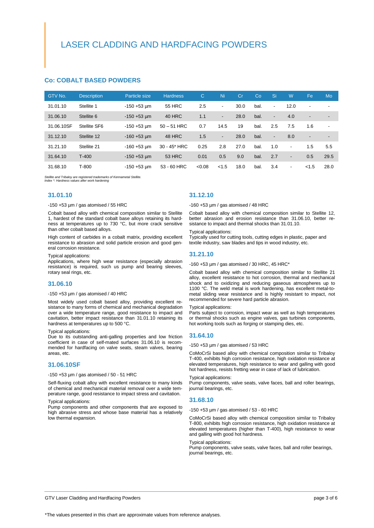### LASER CLADDING AND HARDFACING POWDERS

#### **Co: COBALT BASED POWDERS**

| GTV No.    | <b>Description</b> | Particle size     | <b>Hardness</b> | $\mathsf{C}$ | Ni                       | Cr   | Co   | Si                       | W                        | Fe                       | Mo                       |
|------------|--------------------|-------------------|-----------------|--------------|--------------------------|------|------|--------------------------|--------------------------|--------------------------|--------------------------|
| 31.01.10   | Stellite 1         | $-150 + 53 \mu m$ | <b>55 HRC</b>   | 2.5          | $\overline{\phantom{a}}$ | 30.0 | bal. | $\overline{\phantom{a}}$ | 12.0                     | $\overline{\phantom{a}}$ | $\overline{\phantom{a}}$ |
| 31.06.10   | Stellite 6         | $-150 + 53 \mu m$ | 40 HRC          | 1.1          | $\blacksquare$           | 28.0 | bal. | $\overline{\phantom{a}}$ | 4.0                      | $\overline{\phantom{a}}$ | $\overline{\phantom{0}}$ |
| 31.06.10SF | Stellite SF6       | $-150 + 53 \mu m$ | $50 - 51$ HRC   | 0.7          | 14.5                     | 19   | bal. | 2.5                      | 7.5                      | 1.6                      | ۰                        |
| 31.12.10   | Stellite 12        | $-160 + 53 \mu m$ | 48 HRC          | 1.5          | $\overline{\phantom{a}}$ | 28.0 | bal. | $\overline{\phantom{a}}$ | 8.0                      | $\overline{\phantom{a}}$ | $\overline{\phantom{a}}$ |
| 31.21.10   | Stellite 21        | $-160 + 53$ um    | 30 - 45* HRC    | 0.25         | 2.8                      | 27.0 | bal. | 1.0                      | $\overline{a}$           | 1.5                      | 5.5                      |
| 31.64.10   | $T-400$            | $-150 + 53 \mu m$ | <b>53 HRC</b>   | 0.01         | 0.5                      | 9.0  | bal. | 2.7                      | $\overline{\phantom{a}}$ | 0.5                      | 29.5                     |
| 31.68.10   | T-800              | $-150 + 53$ um    | 53 - 60 HRC     | < 0.08       | < 1.5                    | 18.0 | bal. | 3.4                      | $\overline{\phantom{a}}$ | < 1.5                    | 28.0                     |

*Stellite and Tribaloy are registered trademarks of Kennametal Stellite. Index \*: Hardness values after work hardening*

#### **31.01.10**

#### -150 +53 µm / gas atomised / 55 HRC

Cobalt based alloy with chemical composition similar to Stellite 1, hardest of the standard cobalt base alloys retaining its hardness at temperatures up to 730 °C, but more crack sensitive than other cobalt based alloys.

High content of carbides in a cobalt matrix, providing excellent resistance to abrasion and solid particle erosion and good general corrosion resistance.

#### Typical applications:

Applications, where high wear resistance (especially abrasion resistance) is required, such us pump and bearing sleeves, rotary seal rings, etc.

#### **31.06.10**

#### $-150 + 53$  µm / gas atomised / 40 HRC

Most widely used cobalt based alloy, providing excellent resistance to many forms of chemical and mechanical degradation over a wide temperature range, good resistance to impact and cavitation, better impact resistance than 31.01.10 retaining its hardness at temperatures up to 500 °C.

#### Typical applications:

Due to its outstanding anti-galling properties and low friction coefficient in case of self-mated surfaces 31.06.10 is recommended for hardfacing on valve seats, steam valves, bearing areas, etc.

#### **31.06.10SF**

#### -150 +53 µm / gas atomised / 50 - 51 HRC

Self-fluxing cobalt alloy with excellent resistance to many kinds of chemical and mechanical material removal over a wide temperature range, good resistance to impact stress and cavitation.

#### Typical applications:

Pump components and other components that are exposed to high abrasive stress and whose base material has a relatively low thermal expansion.

#### **31.12.10**

-160 +53 µm / gas atomised / 48 HRC

Cobalt based alloy with chemical composition similar to Stellite 12, better abrasion and erosion resistance than 31.06.10, better resistance to impact and thermal shocks than 31.01.10.

#### Typical applications:

Typically used for cutting tools, cutting edges in plastic, paper and textile industry, saw blades and tips in wood industry, etc.

#### **31.21.10**

-160 +53 µm / gas atomised / 30 HRC, 45 HRC\*

Cobalt based alloy with chemical composition similar to Stellite 21 alloy, excellent resistance to hot corrosion, thermal and mechanical shock and to oxidizing and reducing gaseous atmospheres up to 1100 °C. The weld metal is work hardening, has excellent metal-tometal sliding wear resistance and is highly resistant to impact, not recommended for severe hard particle abrasion.

#### Typical applications:

Parts subject to corrosion, impact wear as well as high temperatures or thermal shocks such as engine valves, gas turbines components, hot working tools such as forging or stamping dies, etc.

#### **31.64.10**

-150 +53 µm / gas atomised / 53 HRC

CoMoCrSi based alloy with chemical composition similar to Tribaloy T-400, exhibits high corrosion resistance, high oxidation resistance at elevated temperatures, high resistance to wear and galling with good hot hardness, resists fretting wear in case of lack of lubrication.

#### Typical applications:

Pump components, valve seats, valve faces, ball and roller bearings, journal bearings, etc.

#### **31.68.10**

-150 +53 µm / gas atomised / 53 - 60 HRC

CoMoCrSi based alloy with chemical composition similar to Tribaloy T-800, exhibits high corrosion resistance, high oxidation resistance at elevated temperatures (higher than T-400), high resistance to wear and galling with good hot hardness.

#### Typical applications:

Pump components, valve seats, valve faces, ball and roller bearings, journal bearings, etc.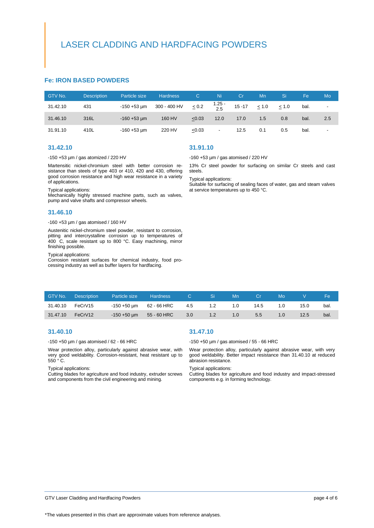### LASER CLADDING AND HARDFACING POWDERS

#### **Fe: IRON BASED POWDERS**

| GTV No.  | <b>Description</b> | Particle size     | <b>Hardness</b> | C.         | Ni.                      | Cr        | Mn         | 'Si.  | Fe   | Mo  |
|----------|--------------------|-------------------|-----------------|------------|--------------------------|-----------|------------|-------|------|-----|
| 31.42.10 | 431                | $-150 + 53 \mu m$ | 300 - 400 HV    | $\leq 0.2$ | 1.25 -<br>2.5            | $15 - 17$ | $\leq 1.0$ | < 1.0 | bal. | -   |
| 31.46.10 | 316L               | $-160 + 53 \mu m$ | 160 HV          | < 0.03     | 12.0                     | 17.0      | 1.5        | 0.8   | bal. | 2.5 |
| 31.91.10 | 410L               | $-160 + 53 \mu m$ | 220 HV          | < 0.03     | $\overline{\phantom{a}}$ | 12.5      | 0.1        | 0.5   | bal. |     |

#### **31.42.10**

#### -150 +53 µm / gas atomized / 220 HV

Martensitic nickel-chromium steel with better corrosion resistance than steels of type 403 or 410, 420 and 430, offering good corrosion resistance and high wear resistance in a variety of applications.

#### Typical applications:

Mechanically highly stressed machine parts, such as valves, pump and valve shafts and compressor wheels.

#### **31.46.10**

#### -160 +53 µm / gas atomised / 160 HV

Austenitic nickel-chromium steel powder, resistant to corrosion, pitting and intercrystalline corrosion up to temperatures of 400 C, scale resistant up to 800 °C. Easy machining, mirror finishing possible.

#### Typical applications:

Corrosion resistant surfaces for chemical industry, food processing industry as well as buffer layers for hardfacing.

#### **31.91.10**

-160 +53 µm / gas atomised / 220 HV

13% Cr steel powder for surfacing on similar Cr steels and cast steels.

Typical applications:

Suitable for surfacing of sealing faces of water, gas and steam valves at service temperatures up to 450 °C.

| GTV No.  | <b>Description</b> | <b>Particle size</b>    | Hardness    | C.  | 'Si l | Mn               | Cr   | Mo |      | FΑ   |
|----------|--------------------|-------------------------|-------------|-----|-------|------------------|------|----|------|------|
| 31.40.10 | FeCrV15            | -150 +50 µm 62 - 66 HRC |             | 4.5 | 1.2   | 1.0              | 14.5 |    | 15.0 | bal. |
| 31.47.10 | FeCrV12            | $-150 + 50 \mu m$       | 55 - 60 HRC | 3.0 | 1.2   | 1.0 <sup>°</sup> | 5.5  |    | 12.5 | bal. |

#### **31.40.10**

#### -150 +50 µm / gas atomised / 62 - 66 HRC

Wear protection alloy, particularly against abrasive wear, with very good weldability. Corrosion-resistant, heat resistant up to 550 ° C.

#### Typical applications:

Cutting blades for agriculture and food industry, extruder screws and components from the civil engineering and mining.

#### **31.47.10**

-150 +50 µm / gas atomised / 55 - 66 HRC

Wear protection alloy, particularly against abrasive wear, with very good weldability. Better impact resistance than 31.40.10 at reduced abrasion resistance.

#### Typical applications:

Cutting blades for agriculture and food industry and impact-stressed components e.g. in forming technology.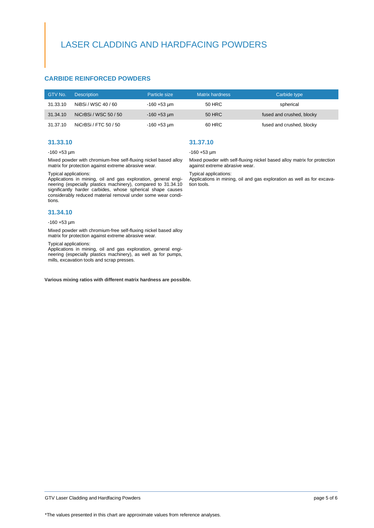## LASER CLADDING AND HARDFACING POWDERS

### **CARBIDE REINFORCED POWDERS**

| GTV No.  | <b>Description</b>    | Particle size          | <b>Matrix hardness</b> | Carbide type              |
|----------|-----------------------|------------------------|------------------------|---------------------------|
| 31.33.10 | NiBSi / WSC 40 / 60   | $-160 + 53 \text{ µm}$ | 50 HRC                 | spherical                 |
| 31.34.10 | NiCrBSi / WSC 50 / 50 | $-160 + 53 \text{ µm}$ | <b>50 HRC</b>          | fused and crushed, blocky |
| 31.37.10 | NiCrBSi / FTC 50 / 50 | $-160 + 53 \mu m$      | 60 HRC                 | fused and crushed, blocky |

#### **31.33.10**

#### -160 +53 µm

Mixed powder with chromium-free self-fluxing nickel based alloy matrix for protection against extreme abrasive wear.

#### Typical applications:

Applications in mining, oil and gas exploration, general engineering (especially plastics machinery), compared to 31.34.10 significantly harder carbides, whose spherical shape causes considerably reduced material removal under some wear conditions.

#### **31.34.10**

#### $-160 + 53$  um

Mixed powder with chromium-free self-fluxing nickel based alloy matrix for protection against extreme abrasive wear.

#### Typical applications:

Applications in mining, oil and gas exploration, general engineering (especially plastics machinery), as well as for pumps, mills, excavation tools and scrap presses.

**Various mixing ratios with different matrix hardness are possible.**

#### **31.37.10**

#### $-160 + 53$  µm

Mixed powder with self-fluxing nickel based alloy matrix for protection against extreme abrasive wear.

#### Typical applications:

Applications in mining, oil and gas exploration as well as for excavation tools.